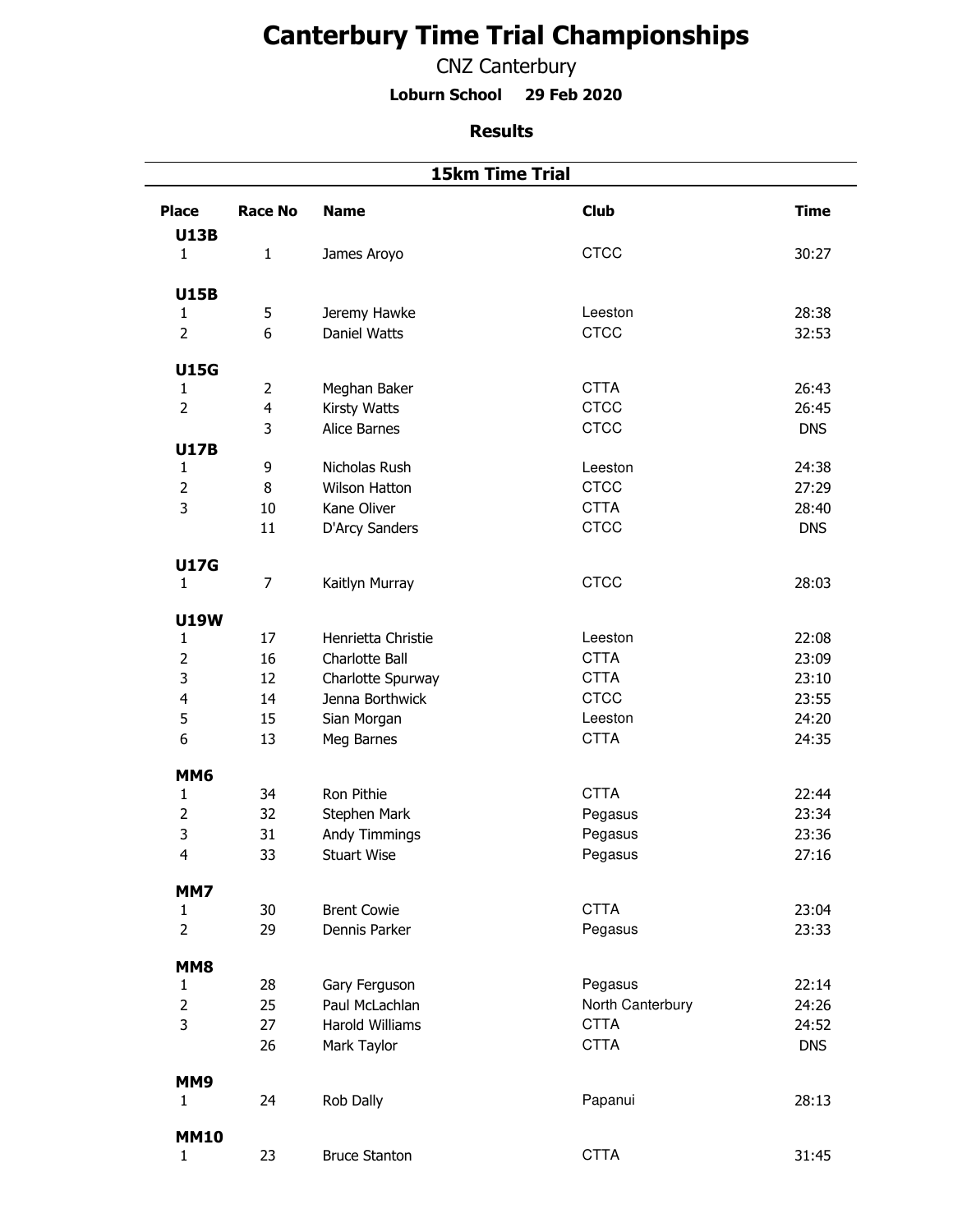## **Canterbury Time Trial Championships**

CNZ Canterbury

**Loburn School 29 Feb 2020**

## **Results**

|                             | <b>15km Time Trial</b> |                        |                        |             |  |
|-----------------------------|------------------------|------------------------|------------------------|-------------|--|
| <b>Place</b><br><b>U13B</b> | <b>Race No</b>         | <b>Name</b>            | <b>Club</b>            | <b>Time</b> |  |
| $\mathbf{1}$                | $\mathbf{1}$           | James Aroyo            | <b>CTCC</b>            | 30:27       |  |
|                             |                        |                        |                        |             |  |
| <b>U15B</b><br>$\mathbf{1}$ | 5                      | Jeremy Hawke           | Leeston                | 28:38       |  |
| $\overline{2}$              | 6                      | Daniel Watts           | <b>CTCC</b>            | 32:53       |  |
|                             |                        |                        |                        |             |  |
| <b>U15G</b>                 |                        |                        |                        |             |  |
| $\mathbf{1}$                | $\overline{2}$         | Meghan Baker           | <b>CTTA</b>            | 26:43       |  |
| $\overline{2}$              | 4                      | Kirsty Watts           | <b>CTCC</b>            | 26:45       |  |
|                             | 3                      | Alice Barnes           | <b>CTCC</b>            | <b>DNS</b>  |  |
| <b>U17B</b><br>$\mathbf{1}$ | 9                      | Nicholas Rush          | Leeston                | 24:38       |  |
| $\overline{2}$              | 8                      | <b>Wilson Hatton</b>   | <b>CTCC</b>            | 27:29       |  |
| 3                           | 10                     | Kane Oliver            | <b>CTTA</b>            | 28:40       |  |
|                             | 11                     | D'Arcy Sanders         | <b>CTCC</b>            | <b>DNS</b>  |  |
|                             |                        |                        |                        |             |  |
| <b>U17G</b>                 |                        |                        |                        |             |  |
| $\mathbf{1}$                | $\overline{7}$         | Kaitlyn Murray         | <b>CTCC</b>            | 28:03       |  |
|                             |                        |                        |                        |             |  |
| <b>U19W</b>                 | 17                     | Henrietta Christie     |                        | 22:08       |  |
| $\mathbf{1}$<br>$\mathbf 2$ | 16                     | Charlotte Ball         | Leeston<br><b>CTTA</b> | 23:09       |  |
| 3                           | 12                     | Charlotte Spurway      | <b>CTTA</b>            | 23:10       |  |
| $\overline{\mathbf{4}}$     | 14                     | Jenna Borthwick        | <b>CTCC</b>            | 23:55       |  |
| 5                           | 15                     | Sian Morgan            | Leeston                | 24:20       |  |
| 6                           | 13                     | Meg Barnes             | <b>CTTA</b>            | 24:35       |  |
|                             |                        |                        |                        |             |  |
| <b>MM6</b>                  |                        |                        |                        |             |  |
| $\mathbf{1}$                | 34                     | Ron Pithie             | <b>CTTA</b>            | 22:44       |  |
| $\overline{2}$              | 32                     | Stephen Mark           | Pegasus                | 23:34       |  |
| 3                           | 31                     | Andy Timmings          | Pegasus                | 23:36       |  |
| 4                           | 33                     | <b>Stuart Wise</b>     | Pegasus                | 27:16       |  |
| MM7                         |                        |                        |                        |             |  |
| $\mathbf{1}$                | 30                     | <b>Brent Cowie</b>     | <b>CTTA</b>            | 23:04       |  |
| $\overline{2}$              | 29                     | Dennis Parker          | Pegasus                | 23:33       |  |
|                             |                        |                        |                        |             |  |
| MM8<br>$\mathbf{1}$         | 28                     | Gary Ferguson          | Pegasus                | 22:14       |  |
| $\overline{2}$              | 25                     | Paul McLachlan         | North Canterbury       | 24:26       |  |
| 3                           | 27                     | <b>Harold Williams</b> | <b>CTTA</b>            | 24:52       |  |
|                             | 26                     | Mark Taylor            | <b>CTTA</b>            | <b>DNS</b>  |  |
|                             |                        |                        |                        |             |  |
| MM9                         |                        |                        |                        |             |  |
| $\mathbf{1}$                | 24                     | Rob Dally              | Papanui                | 28:13       |  |
| <b>MM10</b>                 |                        |                        |                        |             |  |
| $\mathbf{1}$                | 23                     | <b>Bruce Stanton</b>   | <b>CTTA</b>            | 31:45       |  |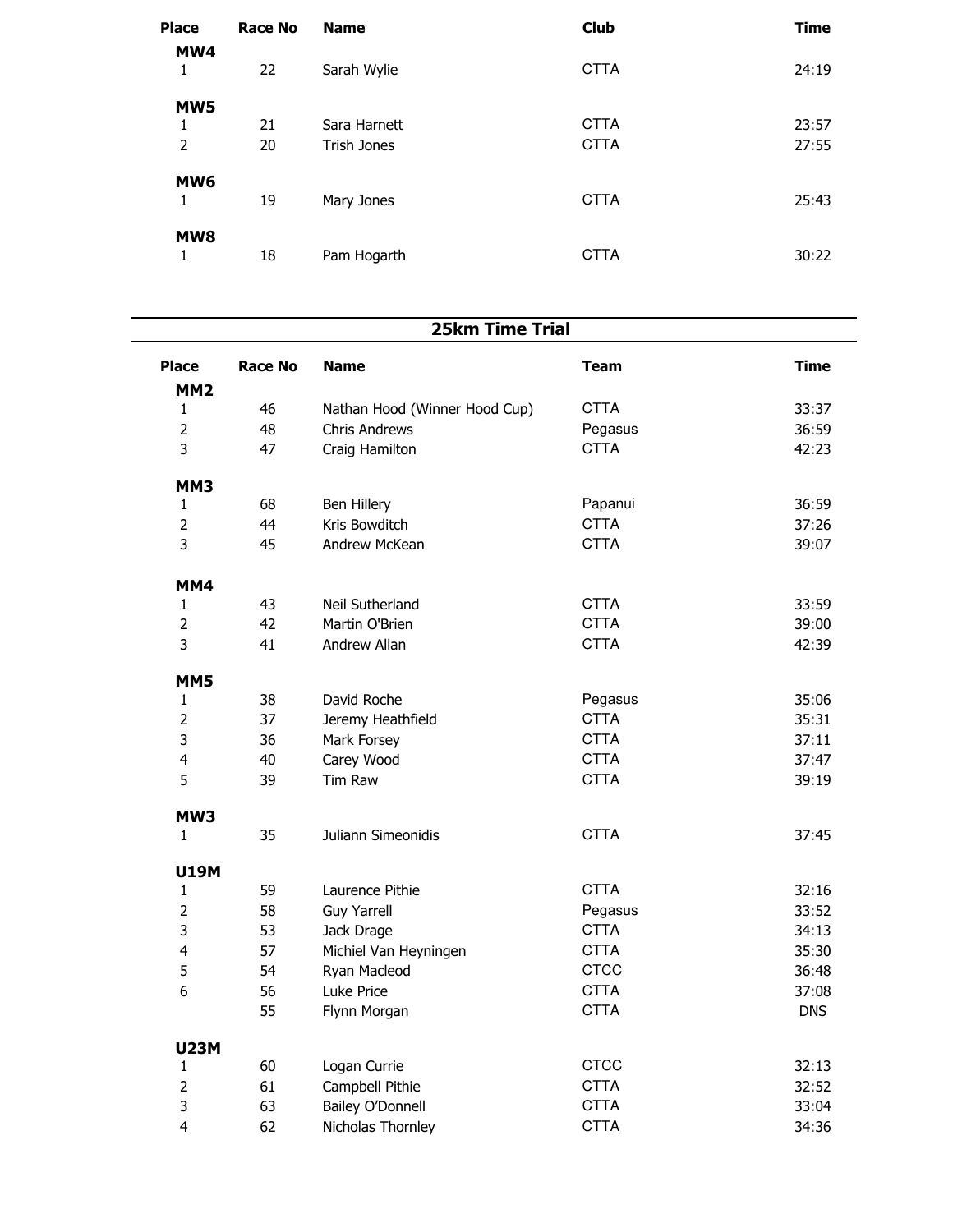| <b>Place</b><br>MW4  | <b>Race No</b> | <b>Name</b>        | <b>Club</b> | <b>Time</b> |
|----------------------|----------------|--------------------|-------------|-------------|
| 1                    | 22             | Sarah Wylie        | <b>CTTA</b> | 24:19       |
| MW5                  |                |                    |             |             |
| 1                    | 21             | Sara Harnett       | <b>CTTA</b> | 23:57       |
| 2                    | 20             | <b>Trish Jones</b> | <b>CTTA</b> | 27:55       |
| MW <sub>6</sub><br>1 | 19             | Mary Jones         | <b>CTTA</b> | 25:43       |
| MW <sub>8</sub><br>1 | 18             | Pam Hogarth        | <b>CTTA</b> | 30:22       |

| <b>25km Time Trial</b>          |         |                               |             |       |
|---------------------------------|---------|-------------------------------|-------------|-------|
| <b>Place</b><br>MM <sub>2</sub> | Race No | <b>Name</b>                   | Team        | Time  |
| 1                               | 46      | Nathan Hood (Winner Hood Cup) | <b>CTTA</b> | 33:37 |
| 2                               | 48      | <b>Chris Andrews</b>          | Pegasus     | 36:59 |
| 3                               | 47      | Craig Hamilton                | CTTA        | 42:23 |
| MM3                             |         |                               |             |       |
| 1                               | 68      | Ben Hillery                   | Papanui     | 36:59 |
| $\overline{2}$                  | 44      | Kris Bowditch                 | <b>CTTA</b> | 37:26 |
| 3                               | 45      | Andrew McKean                 | CTTA        | 39:07 |
| MM4                             |         |                               |             |       |
| 1                               | 43      | Neil Sutherland               | <b>CTTA</b> | 33:59 |
| 2                               | 42      | Martin O'Brien                | <b>CTTA</b> | 39:00 |
| 3                               | 41      | Andrew Allan                  | <b>CTTA</b> | 42:39 |
| MM5                             |         |                               |             |       |
| 1                               | 38      | David Roche                   | Pegasus     | 35:06 |
| $\overline{2}$                  | 37      | Jeremy Heathfield             | <b>CTTA</b> | 35:31 |
| 3                               | 36      | Mark Forsey                   | CTTA        | 37:11 |
| $\lambda$                       | лΛ.     | $C2$ rov $M2$ od              | <b>CTTA</b> | つフ・オフ |

| MM4            |    |                       |             |            |
|----------------|----|-----------------------|-------------|------------|
| 1              | 43 | Neil Sutherland       | <b>CTTA</b> | 33:59      |
| $\overline{2}$ | 42 | Martin O'Brien        | <b>CTTA</b> | 39:00      |
| 3              | 41 | Andrew Allan          | <b>CTTA</b> | 42:39      |
| MM5            |    |                       |             |            |
| $\mathbf{1}$   | 38 | David Roche           | Pegasus     | 35:06      |
| $\overline{2}$ | 37 | Jeremy Heathfield     | <b>CTTA</b> | 35:31      |
| 3              | 36 | Mark Forsey           | <b>CTTA</b> | 37:11      |
| 4              | 40 | Carey Wood            | <b>CTTA</b> | 37:47      |
| 5              | 39 | Tim Raw               | <b>CTTA</b> | 39:19      |
| MW3            |    |                       |             |            |
| $\mathbf{1}$   | 35 | Juliann Simeonidis    | <b>CTTA</b> | 37:45      |
| <b>U19M</b>    |    |                       |             |            |
| $\mathbf{1}$   | 59 | Laurence Pithie       | <b>CTTA</b> | 32:16      |
| $\overline{2}$ | 58 | <b>Guy Yarrell</b>    | Pegasus     | 33:52      |
| 3              | 53 | Jack Drage            | <b>CTTA</b> | 34:13      |
| 4              | 57 | Michiel Van Heyningen | <b>CTTA</b> | 35:30      |
| 5              | 54 | Ryan Macleod          | <b>CTCC</b> | 36:48      |
| 6              | 56 | Luke Price            | <b>CTTA</b> | 37:08      |
|                | 55 | Flynn Morgan          | <b>CTTA</b> | <b>DNS</b> |
| <b>U23M</b>    |    |                       |             |            |
| 1              | 60 | Logan Currie          | <b>CTCC</b> | 32:13      |
| $\overline{2}$ | 61 | Campbell Pithie       | <b>CTTA</b> | 32:52      |
| 3              | 63 | Bailey O'Donnell      | <b>CTTA</b> | 33:04      |
| 4              | 62 | Nicholas Thornley     | <b>CTTA</b> | 34:36      |